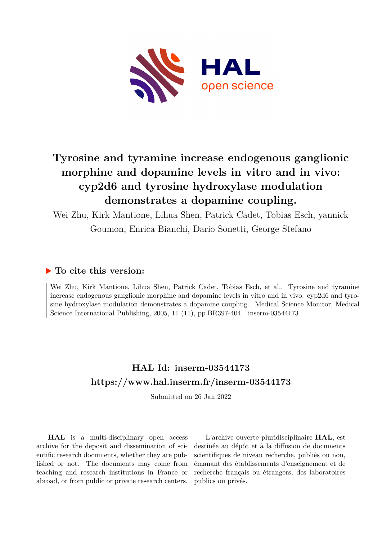

# **Tyrosine and tyramine increase endogenous ganglionic morphine and dopamine levels in vitro and in vivo: cyp2d6 and tyrosine hydroxylase modulation demonstrates a dopamine coupling.**

Wei Zhu, Kirk Mantione, Lihua Shen, Patrick Cadet, Tobias Esch, yannick Goumon, Enrica Bianchi, Dario Sonetti, George Stefano

### **To cite this version:**

Wei Zhu, Kirk Mantione, Lihua Shen, Patrick Cadet, Tobias Esch, et al.. Tyrosine and tyramine increase endogenous ganglionic morphine and dopamine levels in vitro and in vivo: cyp2d6 and tyrosine hydroxylase modulation demonstrates a dopamine coupling.. Medical Science Monitor, Medical Science International Publishing, 2005, 11 (11), pp.BR397-404. inserm-03544173

## **HAL Id: inserm-03544173 <https://www.hal.inserm.fr/inserm-03544173>**

Submitted on 26 Jan 2022

**HAL** is a multi-disciplinary open access archive for the deposit and dissemination of scientific research documents, whether they are published or not. The documents may come from teaching and research institutions in France or abroad, or from public or private research centers.

L'archive ouverte pluridisciplinaire **HAL**, est destinée au dépôt et à la diffusion de documents scientifiques de niveau recherche, publiés ou non, émanant des établissements d'enseignement et de recherche français ou étrangers, des laboratoires publics ou privés.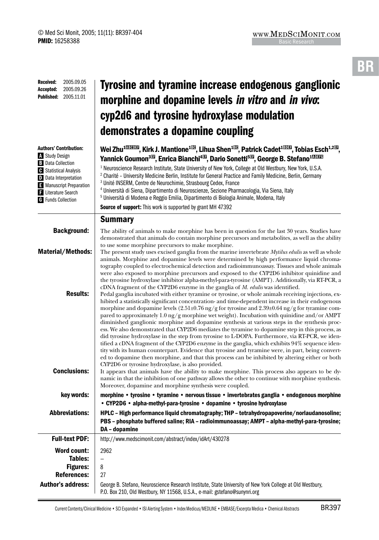#### Tyrosine and tyramine increase endogenous ganglionic morphine and dopamine levels in vitro and in vivo: cyp2d6 and tyrosine hydroxylase modulation demonstrates a dopamine coupling Wei Zhu $^{\rm 10\overline{10004}}$ , Kirk J. Mantione $^{\rm 10\overline{10}}$ , Lihua Shen $^{\rm 10\overline{10}}$ , Patrick Cadet $^{\rm 10\overline{1040}}$ , Tobias Esch $^{\rm 1,20\overline{10}}$ , Yannick Goumon<sup>313</sup>, Enrica Bianchi<sup>433</sup>, Dario Sonetti<sup>513</sup>, George B. Stefano<sup>100339</sup> <sup>1</sup> Neuroscience Research Institute, State University of New York, College at Old Westbury, New York, U.S.A. 2 Charité – University Medicine Berlin, Institute for General Practice and Family Medicine, Berlin, Germany 3 Unité INSERM, Centre de Neurochimie, Strasbourg Cedex, France 4 Università di Siena, Dipartimento di Neuroscienze, Sezione Pharmacologia, Via Siena, Italy 5 Università di Modena e Reggio Emilia, Dipartimento di Biologia Animale, Modena, Italy Source of support: This work is supported by grant MH 47392 Summary **Background:** The ability of animals to make morphine has been in question for the last 30 years. Studies have demonstrated that animals do contain morphine precursors and metabolites, as well as the ability to use some morphine precursors to make morphine. Material/Methods: The present study uses excised ganglia from the marine invertebrate *Mytilus edulis* as well as whole animals. Morphine and dopamine levels were determined by high performance liquid chromatography coupled to electrochemical detection and radioimmunoassay. Tissues and whole animals were also exposed to morphine precursors and exposed to the CYP2D6 inhibitor quinidine and the tyrosine hydroxylase inhibitor alpha-methyl-para-tyrosine (AMPT). Additionally, via RT-PCR, a cDNA fragment of the CYP2D6 enzyme in the ganglia of *M. edulis* was identified. **Results:** Pedal ganglia incubated with either tyramine or tyrosine, or whole animals receiving injections, exhibited a statistically significant concentration- and time-dependent increase in their endogenous morphine and dopamine levels (2.51±0.76 ng/g for tyrosine and 2.39±0.64 ng/g for tyramine compared to approximately 1.0 ng/g morphine wet weight). Incubation with quinidine and/or AMPT diminished ganglionic morphine and dopamine synthesis at various steps in the synthesis process. We also demonstrated that CYP2D6 mediates the tyramine to dopamine step in this process, as did tyrosine hydroxylase in the step from tyrosine to L-DOPA. Furthermore, via RT-PCR, we identified a cDNA fragment of the CYP2D6 enzyme in the ganglia, which exhibits 94% sequence identity with its human counterpart. Evidence that tyrosine and tyramine were, in part, being converted to dopamine then morphine, and that this process can be inhibited by altering either or both CYP2D6 or tyrosine hydroxylase, is also provided. **Conclusions:** It appears that animals have the ability to make morphine. This process also appears to be dynamic in that the inhibition of one pathway allows the other to continue with morphine synthesis. Moreover, dopamine and morphine synthesis were coupled. key words: morphine • tyrosine • tyramine • nervous tissue • invertebrates ganglia • endogenous morphine • CYP2D6 • alpha-methyl-para-tyrosine • dopamine • tyrosine hydroxylase Abbreviations: HPLC – High performance liquid chromatography; THP – tetrahydropapoverine/norlaudanosoline; PBS – phosphate buffered saline; RIA – radioimmunoassay; AMPT – alpha-methyl-para-tyrosine; DA – dopamine Full-text PDF: http://www.medscimonit.com/abstract/index/idArt/430278 Word count: | 2962 Tables:  $\vert -$ Figures:  $8$ References: 27 Author's address: George B. Stefano, Neuroscience Research Institute, State University of New York College at Old Westbury, P.O. Box 210, Old Westbury, NY 11568, U.S.A., e-mail: gstefano@sunynri.org Authors' Contribution: A Study Design **B** Data Collection C Statistical Analysis D Data Interpretation **E** Manuscript Preparation **F** Literature Search G Funds Collection Received: 2005.09.05 Accepted: 2005.09.26 Published: 2005.11.01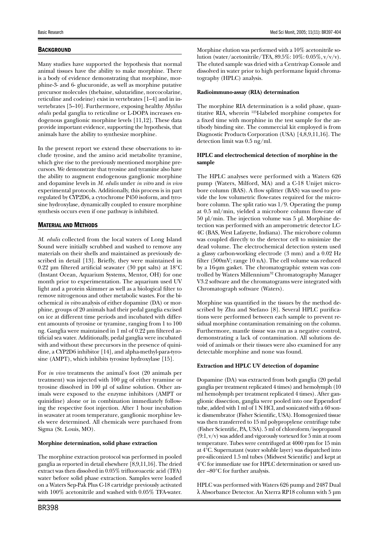#### **BACKGROUND**

Many studies have supported the hypothesis that normal animal tissues have the ability to make morphine. There is a body of evidence demonstrating that morphine, morphine-3- and 6- glucuronide, as well as morphine putative precursor molecules (thebaine, salutaridine, norcocolarine, reticuline and codeine) exist in vertebrates [1–4] and in invertebrates [5–10]. Furthermore, exposing healthy *Mytilus edulis* pedal ganglia to reticuline or L-DOPA increases endogenous ganglionic morphine levels [11,12]. These data provide important evidence, supporting the hypothesis, that animals have the ability to synthesize morphine.

In the present report we extend these observations to include tyrosine, and the amino acid metabolite tyramine, which give rise to the previously mentioned morphine precursors. We demonstrate that tyrosine and tyramine also have the ability to augment endogenous ganglionic morphine and dopamine levels in *M. edulis* under *in vitro* and *in vivo* experimental protocols. Additionally, this process is in part regulated by CYP2D6, a cytochrome P450 isoform, and tyrosine hydroxylase, dynamically coupled to ensure morphine synthesis occurs even if one pathway is inhibited.

#### Material and Methods

*M. edulis* collected from the local waters of Long Island Sound were initially scrubbed and washed to remove any materials on their shells and maintained as previously described in detail [13]. Briefly, they were maintained in 0.22 µm filtered artificial seawater (30 ppt salts) at 18°C (Instant Ocean, Aquarium Systems, Mentor, OH) for one month prior to experimentation. The aquarium used UV light and a protein skimmer as well as a biological filter to remove nitrogenous and other metabolic wastes. For the biochemical *in vitro* analysis of either dopamine (DA) or morphine, groups of 20 animals had their pedal ganglia excised on ice at different time periods and incubated with different amounts of tyrosine or tyramine, ranging from 1 to 100 ng. Ganglia were maintained in 1 ml of 0.22 µm filtered artificial sea water. Additionally, pedal ganglia were incubated with and without these precursors in the presence of quinidine, a CYP2D6 inhibitor [14], and alpha-methyl-para-tyrosine (AMPT), which inhibits tyrosine hydroxylase [15].

For *in vivo* treatments the animal's foot (20 animals per treatment) was injected with 100 µg of either tyramine or tyrosine dissolved in 100 µl of saline solution. Other animals were exposed to the enzyme inhibitors (AMPT or quinidine) alone or in combination immediately following the respective foot injection. After 1 hour incubation in seawater at room temperature, ganglionic morphine levels were determined. All chemicals were purchased from Sigma (St. Louis, MO).

#### **Morphine determination, solid phase extraction**

The morphine extraction protocol was performed in pooled ganglia as reported in detail elsewhere [8,9,11,16]. The dried extract was then dissolved in 0.05% trifluoroacetic acid (TFA) water before solid phase extraction. Samples were loaded on a Waters Sep-Pak Plus C-18 cartridge previously activated with 100% acetonitrile and washed with 0.05% TFA-water.

Morphine elution was performed with a 10% acetonitrile solution (water/acetonitrile/TFA, 89.5%: 10%: 0.05%, v/v/v). The eluted sample was dried with a Centrivap Console and dissolved in water prior to high performane liquid chromatography (HPLC) analysis.

#### **Radioimmuno-assay (RIA) determination**

The morphine RIA determination is a solid phase, quantitative RIA, wherein 125I-labeled morphine competes for a fixed time with morphine in the test sample for the antibody binding site. The commercial kit employed is from Diagnostic Products Corporation (USA) [4,8,9,11,16]. The detection limit was 0.5 ng/ml.

#### **HPLC and electrochemical detection of morphine in the sample**

The HPLC analyses were performed with a Waters 626 pump (Waters, Milford, MA) and a C-18 Unijet microbore column (BAS). A flow splitter (BAS) was used to provide the low volumetric flow-rates required for the microbore column. The split ratio was 1/9. Operating the pump at 0.5 ml/min, yielded a microbore column flow-rate of 50 µl/min. The injection volume was 5 µl. Morphine detection was performed with an amperometric detector LC-4C (BAS, West Lafayette, Indiana). The microbore column was coupled directly to the detector cell to minimize the dead volume. The electrochemical detection system used a glassy carbon-working electrode (3 mm) and a 0.02 Hz filter (500mV; range 10 nA). The cell volume was reduced by a 16-µm gasket. The chromatographic system was controlled by Waters Millennium<sup>32</sup> Chromatography Manager V3.2 software and the chromatograms were integrated with Chromatograph software (Waters).

Morphine was quantified in the tissues by the method described by Zhu and Stefano [8]. Several HPLC purifications were performed between each sample to prevent residual morphine contamination remaining on the column. Furthermore, mantle tissue was run as a negative control, demonstrating a lack of contamination. All solutions devoid of animals or their tissues were also examined for any detectable morphine and none was found.

#### **Extraction and HPLC UV detection of dopamine**

Dopamine (DA) was extracted from both ganglia (20 pedal ganglia per treatment replicated 4 times) and hemolymph (10 ml hemolymph per treatment replicated 4 times). After ganglionic dissection, ganglia were pooled into one Eppendorf tube, added with 1 ml of 1 N HCl, and sonicated with a 60 sonic dismembrator (Fisher Scientific, USA). Homogenized tissue was then transferred to 15 ml polypropylene centrifuge tube (Fisher Scientific, PA, USA). 5 ml of chloroform/isopropanol (9:1, v/v) was added and vigorously vortexed for 5 min at room temperature. Tubes were centrifuged at 4000 rpm for 15 min at 4°C. Supernatant (water soluble layer) was dispatched into pre-siliconized 1.5 ml tubes (Midwest Scientific) and kept at 4°C for immediate use for HPLC determination or saved under –80°C for further analysis.

HPLC was performed with Waters 626 pump and 2487 Dual l Absorbance Detector. An Xterra RP18 column with 5 µm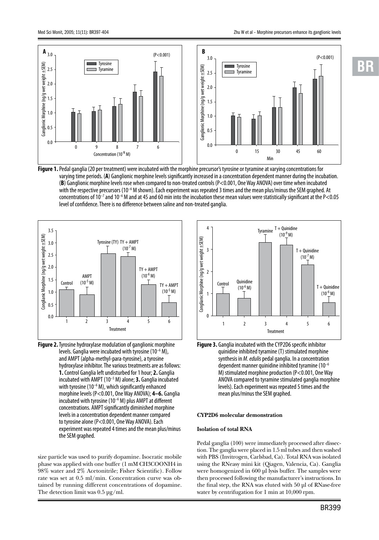

**Figure 1.**Pedal ganglia (20 per treatment) were incubated with the morphine precursor's tyrosine or tyramine at varying concentrations for varying time periods. (**A**) Ganglionic morphine levels significantly increased in a concentration dependent manner during the incubation. (**B**) Ganglionic morphine levels rose when compared to non-treated controls (P<0.001, One Way ANOVA) over time when incubated with the respective precursors (10–6 M shown). Each experiment was repeated 3 times and the mean plus/minus the SEM graphed. At concentrations of 10<sup>-7</sup> and 10<sup>-6</sup> M and at 45 and 60 min into the incubation these mean values were statistically significant at the P<0.05 level of confidence. There is no difference between saline and non-treated ganglia.



**Figure 2.**Tyrosine hydroxylase modulation of ganglionic morphine levels. Ganglia were incubated with tyrosine (10–6 M), and AMPT (alpha-methyl-para-tyrosine), a tyrosine hydroxylase inhibitor. The various treatments are as follows: **1.** Control Ganglia left undisturbed for 1 hour; **2.** Ganglia incubated with AMPT (10–5 M) alone; **3.** Ganglia incubated with tyrosine (10<sup>-6</sup> M), which significantly enhanced morphine levels (P<0.001, One Way ANOVA); **4–6.** Ganglia incubated with tyrosine ( $10^{-6}$  M) plus AMPT at different concentrations. AMPT significantly diminished morphine levels in a concentration dependent manner compared to tyrosine alone (P<0.001, One Way ANOVA). Each experiment was repeated 4 times and the mean plus/minus the SEM graphed.

size particle was used to purify dopamine. Isocratic mobile phase was applied with one buffer (1 mM CH3COONH4 in 98% water and 2% Acetonitrile; Fisher Scientific). Follow rate was set at 0.5 ml/min. Concentration curve was obtained by running different concentrations of dopamine. The detection limit was 0.5 µg/ml.



**Figure 3.** Ganglia incubated with the CYP2D6 specific inhibitor quinidine inhibited tyramine (T) stimulated morphine synthesis in *M. edulis* pedal ganglia. In a concentration dependent manner quinidine inhibited tyramine  $(10^{-6})$ M) stimulated morphine production (P<0.001, One Way ANOVA compared to tyramine stimulated ganglia morphine levels). Each experiment was repeated 5 times and the mean plus/minus the SEM graphed.

#### **CYP2D6 molecular demonstration**

#### **Isolation of total RNA**

Pedal ganglia (100) were immediately processed after dissection. The ganglia were placed in 1.5 ml tubes and then washed with PBS (Invitrogen, Carlsbad, Ca). Total RNA was isolated using the RNeasy mini kit (Qiagen, Valencia, Ca). Ganglia were homogenized in 600 µl lysis buffer. The samples were then processed following the manufacturer's instructions. In the final step, the RNA was eluted with 50 µl of RNase-free water by centrifugation for 1 min at 10,000 rpm.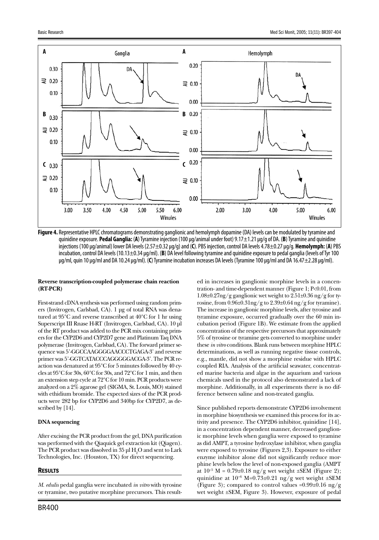

**Figure 4.** Representative HPLC chromatograms demonstrating ganglionic and hemolymph dopamine (DA) levels can be modulated by tyramine and quinidine exposure. **Pedal Ganglia:** (**A**) Tyramine injection (100 µg/animal under foot) 9.17±1.21 µg/g of DA. (**B**) Tyramine and quinidine injections (100 µg/animal) lower DA levels (2.57±0.32 µg/g) and (**C**). PBS injection, control DA levels 4.78±0.27 µg/g. **Hemolymph:** (**A**) PBS incubation, control DA levels (10.13±0.34 µg/ml). (**B**) DA level following tyramine and quinidine exposure to pedal ganglia (levels of Tyr 100 µg/ml, quin 10 µg/ml and DA 10.24 µg/ml). (**C**) Tyramine incubation increases DA levels (Tyramine 100 µg/ml and DA 16.47±2.28 µg/ml).

#### **Reverse transcription-coupled polymerase chain reaction (RT-PCR)**

First-strand cDNA synthesis was performed using random primers (Invitrogen, Carlsbad, CA). 1 µg of total RNA was denatured at 95°C and reverse transcribed at 40°C for 1 hr using Superscript III Rnase H-RT (Invitrogen, Carlsbad, CA). 10 µl of the RT product was added to the PCR mix containing primers for the CYP2D6 and CYP2D7 gene and Platinum Taq DNA polymerase (Invitrogen, Carlsbad, CA). The forward primer sequence was 5'-GGCCAAGGGGAACCCTGAGA-3' and reverse primer was 5'-GGTCATACCCAGGGGGACGA-3'. The PCR reaction was denatured at 95°C for 5 minutes followed by 40 cycles at 95°C for 30s, 60°C for 30s, and 72°C for 1 min, and then an extension step cycle at 72°C for 10 min. PCR products were analyzed on a 2% agarose gel (SIGMA, St. Louis, MO) stained with ethidium bromide. The expected sizes of the PCR products were 282 bp for CYP2D6 and 340bp for CYP2D7, as described by [14].

#### **DNA sequencing**

After excising the PCR product from the gel, DNA purification was performed with the Qiaquick gel extraction kit (Qiagen). The PCR product was dissolved in  $35 \mu$ I  $\text{H}_{2}\text{O}$  and sent to Lark Technologies, Inc. (Houston, TX) for direct sequencing.

#### **RESULTS**

*M. edulis* pedal ganglia were incubated *in vitro* with tyrosine or tyramine, two putative morphine precursors. This resulted in increases in ganglionic morphine levels in a concentration- and time-dependent manner (Figure 1; P<0.01, from 1.08±0.27ng/g ganglionic wet weight to 2.51±0.36 ng/g for tyrosine, from 0.96±0.31ng/g to 2.39±0.64 ng/g for tyramine). The increase in ganglionic morphine levels, after tyrosine and tyramine exposure, occurred gradually over the 60 min incubation period (Figure 1B). We estimate from the applied concentration of the respective precursors that approximately 5% of tyrosine or tyramine gets converted to morphine under these *in vitro* conditions. Blank runs between morphine HPLC determinations, as well as running negative tissue controls, e.g., mantle, did not show a morphine residue with HPLC coupled RIA. Analysis of the artificial seawater, concentrated marine bacteria and algae in the aquarium and various chemicals used in the protocol also demonstrated a lack of morphine. Additionally, in all experiments there is no difference between saline and non-treated ganglia.

Since published reports demonstrate CYP2D6 involvement in morphine biosynthesis we examined this process for its activity and presence. The CYP2D6 inhibitor, quinidine [14], in a concentration dependent manner, decreased ganglionic morphine levels when ganglia were exposed to tyramine as did AMPT, a tyrosine hydroxylase inhibitor, when ganglia were exposed to tyrosine (Figures 2,3). Exposure to either enzyme inhibitor alone did not significantly reduce morphine levels below the level of non-exposed ganglia (AMPT at  $10^{-5}$  M = 0.79 $\pm$ 0.18 ng/g wet weight  $\pm$ SEM (Figure 2); quinidine at  $10^{-6}$  M=0.73±0.21 ng/g wet weight ±SEM (Figure 3); compared to control values = $0.99\pm0.16$  ng/g wet weight ±SEM, Figure 3). However, exposure of pedal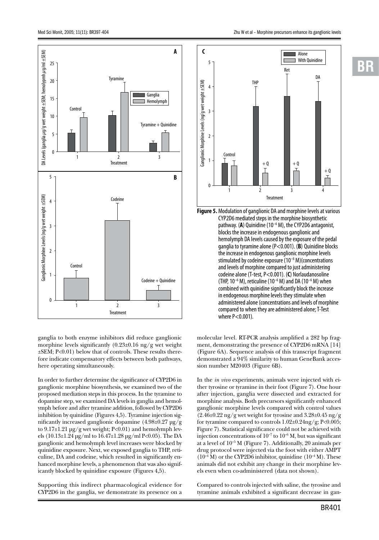

ganglia to both enzyme inhibitors did reduce ganglionic morphine levels significantly  $(0.23\pm0.16 \text{ ng/g}$  wet weight ±SEM; P<0.01) below that of controls. These results therefore indicate compensatory effects between both pathways, here operating simultaneously.

In order to further determine the significance of CYP2D6 in ganglionic morphine biosynthesis, we examined two of the proposed mediation steps in this process. In the tyramine to dopamine step, we examined DA levels in ganglia and hemolymph before and after tyramine addition, followed by CYP2D6 inhibition by quinidine (Figures 4,5). Tyramine injection significantly increased ganglionic dopamine (4.98±0.27 µg/g to 9.17±1.21 µg/g wet weight; P<0.01) and hemolymph levels (10.13±1.24 µg/ml to 16.47±1.28 µg/ml P<0.05). The DA ganglionic and hemolymph level increases were blocked by quinidine exposure. Next, we exposed ganglia to THP, reticuline, DA and codeine, which resulted in significantly enhanced morphine levels, a phenomenon that was also significantly blocked by quinidine exposure (Figures 4,5).

Supporting this indirect pharmacological evidence for CYP2D6 in the ganglia, we demonstrate its presence on a



**Figure 5.** Modulation of ganglionic DA and morphine levels at various CYP2D6 mediated steps in the morphine biosynthetic pathway. (**A**) Quinidine (10–6 M), the CYP2D6 antagonist, blocks the increase in endogenous ganglionic and hemolymph DA levels caused by the exposure of the pedal ganglia to tyramine alone (P<0.001). (**B**) Quinidine blocks the increase in endogenous ganglionic morphine levels stimulated by codeine exposure (10–6 M)(concentrations and levels of morphine compared to just administering codeine alone (T-test, P<0.001). (**C**) Norlaudanosoline (THP,  $10^{-6}$  M), reticuline ( $10^{-6}$  M) and DA ( $10^{-6}$  M) when combined with quinidine significantly block the increase in endogenous morphine levels they stimulate when administered alone (concentrations and levels of morphine compared to when they are administered alone; T-Test where P<0.001).

molecular level. RT-PCR analysis amplified a 282 bp fragment, demonstrating the presence of CYP2D6 mRNA [14] (Figure 6A). Sequence analysis of this transcript fragment demonstrated a 94% similarity to human GeneBank accession number M20403 (Figure 6B).

In the *in vivo* experiments, animals were injected with either tyrosine or tyramine in their foot (Figure 7). One hour after injection, ganglia were dissected and extracted for morphine analysis. Both precursors significantly enhanced ganglionic morphine levels compared with control values  $(2.46\pm0.22 \text{ ng/g} \text{ wet weight}$  for tyrosine and  $3.28\pm0.45 \text{ ng/g}$ for tyramine compared to controls 1.02±0.24ng/g; P<0.005; Figure 7). Statistical significance could not be achieved with injection concentrations of  $10^{-7}$  to  $10^{-6}$  M, but was significant at a level of  $10^{-5}$  M (Figure 7). Additionally, 20 animals per drug protocol were injected via the foot with either AMPT  $(10^{-4} M)$  or the CYP2D6 inhibitor, quinidine  $(10^{-4} M)$ . These animals did not exhibit any change in their morphine levels even when co-administered (data not shown).

Compared to controls injected with saline, the tyrosine and tyramine animals exhibited a significant decrease in gan-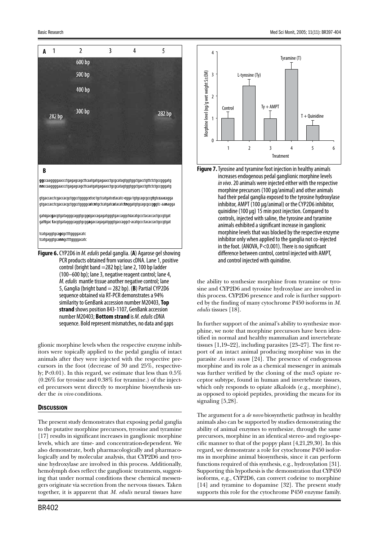

control (bright band =282 bp); lane 2, 100 bp ladder (100–600 bp); lane 3, negative reagent control; lane 4, *M. edulis* mantle tissue another negative control; lane 5, Ganglia (bright band = 282 bp). (**B**) Partial CYP2D6 sequence obtained via RT-PCR demonstrates a 94% similarity to GenBank accession number M20403, **Top strand** shows position 843-1107, GenBank accession number M20403; **Bottom strand** is *M. edulis* cDNA sequence. Bold represent mismatches, no data and gaps

glionic morphine levels when the respective enzyme inhibitors were topically applied to the pedal ganglia of intact animals after they were injected with the respective precursors in the foot (decrease of 30 and 25%, respectively; P<0.01). In this regard, we estimate that less than 0.5% (0.26% for tyrosine and 0.38% for tyramine.) of the injected precursors went directly to morphine biosynthesis under the *in vivo* conditions.

#### **DISCUSSION**

The present study demonstrates that exposing pedal ganglia to the putative morphine precursors, tyrosine and tyramine [17] results in significant increases in ganglionic morphine levels, which are time- and concentration-dependent. We also demonstrate, both pharmacologically and pharmacologically and by molecular analysis, that CYP2D6 and tyrosine hydroxylase are involved in this process. Additionally, hemolymph does reflect the ganglionic treatments, suggesting that under normal conditions these chemical messengers originate via secretion from the nervous tissues. Taken together, it is apparent that *M. edulis* neural tissues have



increases endogenous pedal ganglionic morphine levels *in vivo*. 20 animals were injected either with the respective morphine precursors (100 µg/animal) and other animals had their pedal ganglia exposed to the tyrosine hydroxylase inhibitor, AMPT (100 µg/animal) or the CYP2D6 inhibitor, quinidine (100 µg) 15 min post injection. Compared to controls, injected with saline, the tyrosine and tyramine animals exhibited a significant increase in ganglionic morphine levels that was blocked by the respective enzyme inhibitor only when applied to the ganglia not co-injected in the foot. (ANOVA, P<0.001). There is no significant difference between control, control injected with AMPT, and control injected with quinidine.

the ability to synthesize morphine from tyramine or tyrosine and CYP2D6 and tyrosine hydroxylase are involved in this process. CYP2D6 presence and role is further supported by the finding of many cytochrome P450 isoforms in *M. edulis* tissues [18].

In further support of the animal's ability to synthesize morphine, we note that morphine precursors have been identified in normal and healthy mammalian and invertebrate tissues [1,19–22], including parasites [23–27]. The first report of an intact animal producing morphine was in the parasite *Ascaris suum* [24]. The presence of endogenous morphine and its role as a chemical messenger in animals was further verified by the cloning of the mu3 opiate receptor subtype, found in human and invertebrate tissues, which only responds to opiate alkaloids (e.g., morphine), as opposed to opioid peptides, providing the means for its signaling [5,28].

The argument for a *de novo* biosynthetic pathway in healthy animals also can be supported by studies demonstrating the ability of animal enzymes to synthesize, through the same precursors, morphine in an identical stereo- and regio-specific manner to that of the poppy plant [4,21,29,30]. In this regard, we demonstrate a role for cytochrome P450 isoforms in morphine animal biosynthesis, since it can perform functions required of this synthesis, e.g., hydroxylation [31]. Supporting this hypothesis is the demonstration that CYP450 isoforms, e.g., CYP2D6, can convert codeine to morphine [14] and tyramine to dopamine [32]. The present study supports this role for the cytochrome P450 enzyme family.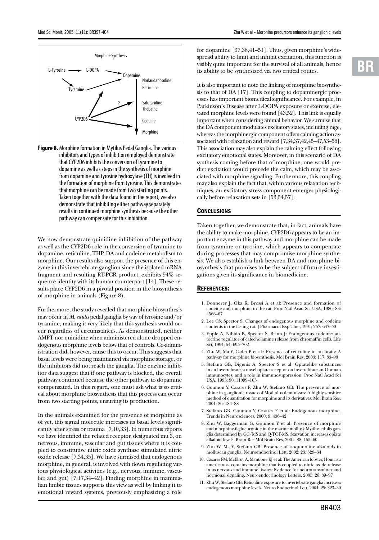



**Figure 8.** Morphine formation in Mytilus Pedal Ganglia. The various inhibitors and types of inhibition employed demonstrate that CYP2D6 inhibits the conversion of tyramine to dopamine as well as steps in the synthesis of morphine from dopamine and tyrosine hydroxylase (TH) is involved in the formation of morphine from tyrosine. This demonstrates that morphine can be made from two starting points. Taken together with the data found in the report, we also demonstrate that inhibiting either pathway separately results in continued morphine synthesis because the other pathway can compensate for this inhibition.

We now demonstrate quinidine inhibition of the pathway as well as the CYP2D6 role in the conversion of tyramine to dopamine, reticuline, THP, DA and codeine metabolism to morphine. Our results also support the presence of this enzyme in this invertebrate ganglion since the isolated mRNA fragment and resulting RT-PCR product, exhibits 94% sequence identity with its human counterpart [14]. These results place CYP2D6 in a pivotal position in the biosynthesis of morphine in animals (Figure 8).

Furthermore, the study revealed that morphine biosynthesis may occur in *M. edulis* pedal ganglia by way of tyrosine and/or tyramine, making it very likely that this synthesis would occur regardless of circumstances. As demonstrated, neither AMPT nor quinidine when administered alone dropped endogenous morphine levels below that of controls. Co-administration did, however, cause this to occur. This suggests that basal levels were being maintained via morphine storage, or the inhibitors did not reach the ganglia. The enzyme inhibitor data suggest that if one pathway is blocked, the overall pathway continued because the other pathway to dopamine compensated. In this regard, one must ask what is so critical about morphine biosynthesis that this process can occur from two starting points, ensuring its production.

In the animals examined for the presence of morphine as of yet, this signal molecule increases its basal levels significantly after stress or trauma [7,10,33]. In numerous reports we have identified the related receptor, designated mu 3, on nervous, immune, vascular and gut tissues where it is coupled to constitutive nitric oxide synthase stimulated nitric oxide release [7,34,35]. We have surmised that endogenous morphine, in general, is involved with down regulating various physiological activities (e.g., nervous, immune, vascular, and gut) [7,17,34–42]. Finding morphine in mammalian limbic tissues supports this view as well by linking it to emotional reward systems, previously emphasizing a role

for dopamine [37,38,41–51]. Thus, given morphine's widespread ability to limit and inhibit excitation**,** this function is visibly quite important for the survival of all animals, hence its ability to be synthesized via two critical routes.

It is also important to note the linking of morphine biosynthesis to that of DA [17]. This coupling to dopaminergic processes has important biomedical significance. For example, in Parkinson's Disease after L-DOPA exposure or exercise, elevated morphine levels were found [43,52]. This link is equally important when considering animal behavior. We surmise that the DA component modulates excitatory states, including rage, whereas the morphinergic component offers calming action associated with relaxation and reward [7,34,37,42,45–47,53–56]. This association may also explain the calming effect following excitatory emotional states. Moreover, in this scenario of DA synthesis coming before that of morphine, one would predict excitation would precede the calm, which may be associated with morphine signaling. Furthermore, this coupling may also explain the fact that, within various relaxation techniques, an excitatory stress component emerges physiologically before relaxation sets in [53,54,57].

#### **CONCLUSIONS**

Taken together, we demonstrate that, in fact, animals have the ability to make morphine. CYP2D6 appears to be an important enzyme in this pathway and morphine can be made from tyramine or tyrosine, which appears to compensate during processes that may compromise morphine synthesis. We also establish a link between DA and morphine biosynthesis that promises to be the subject of future investigations given its significance in biomedicine.

#### References:

- 1. Donnerer J, Oka K, Brossi A et al: Presence and formation of codeine and morphine in the rat. Proc Natl Acad Sci USA, 1986; 83: 4566–67
- 2. Lee CS, Spector S: Changes of endogenous morphine and codeine contents in the fasting rat. J Pharmacol Exp Ther, 1991; 257: 647–50
- 3. Epple A, Nibbio B, Spector S, Brinn J: Endogenous codeine: autocrine regulator of catecholamine release from chromaffin cells. Life Sci, 1994; 54: 695–702
- 4. Zhu W, Ma Y, Cadet P et al.: Presence of reticuline in rat brain: A pathway for morphine biosynthesis. Mol Brain Res, 2003; 117: 83–90
- 5. Stefano GB, Digenis A, Spector S et al: Opiatelike substances in an invertebrate, a novel opiate receptor on invertebrate and human immunocytes, and a role in immunosuppression. Proc Natl Acad Sci USA, 1993; 90: 11099–103
- 6. Goumon Y, Casares F, Zhu W, Stefano GB: The presence of morphine in ganglionic tissues of Modiolus deminissus: A highly sensitive method of quantitation for morphine and its derivatives. Mol Brain Res, 2001; 86: 184–88
- 7. Stefano GB, Goumon Y, Casares F et al: Endogenous morphine. Trends in Neurosciences, 2000; 9: 436–42
- 8. Zhu W, Baggerman G, Goumon Y et al: Presence of morphine and morphine-6-glucuronide in the marine mollusk Mytilus edulis ganglia determined by GC/MS and Q-TOF-MS. Starvation increases opiate alkaloid levels. Brain Res Mol Brain Res, 2001; 88: 155–60
- 9. Zhu W, Ma Y, Stefano GB: Presence of isoquinoline alkaloids in molluscan ganglia. Neuroendocrinol Lett, 2002; 23: 329–34
- 10. Casares FM, McElroy A, Mantione KJ et al: The American lobster, Homarus americanus, contains morphine that is coupled to nitric oxide release in its nervous and immune tissues: Evidence for neurotransmitter and hormonal signaling. Neuroendocrinology Letters, 2005; 26: 89–97
- 11. Zhu W, Stefano GB: Reticuline exposure to invertebrate ganglia increases endogenous morphine levels. Neuro Endocrinol Lett, 2004; 25: 323–30